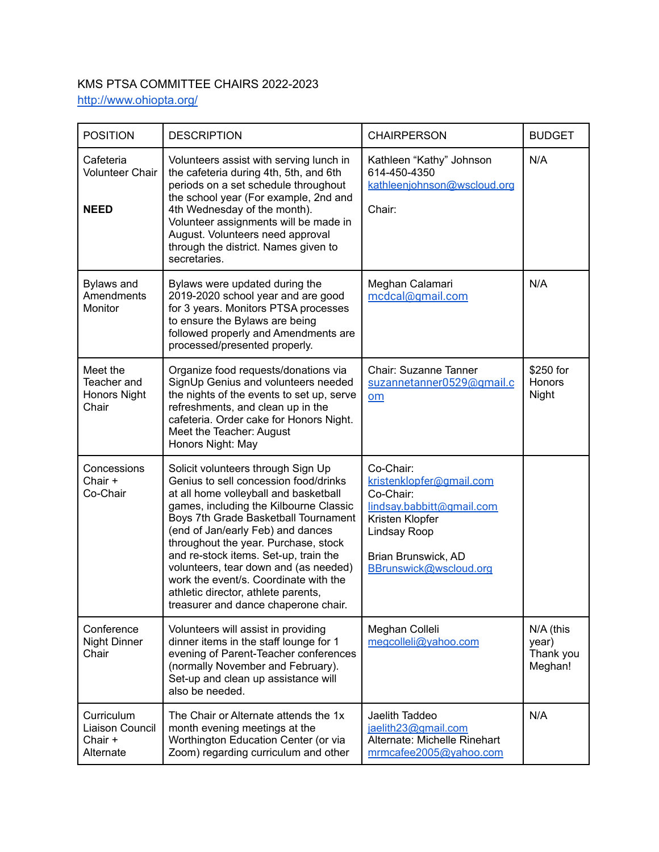## KMS PTSA COMMITTEE CHAIRS 2022-2023 <http://www.ohiopta.org/>

| <b>POSITION</b>                                         | <b>DESCRIPTION</b>                                                                                                                                                                                                                                                                                                                                                                                                                                                                            | <b>CHAIRPERSON</b>                                                                                                                                                  | <b>BUDGET</b>                              |
|---------------------------------------------------------|-----------------------------------------------------------------------------------------------------------------------------------------------------------------------------------------------------------------------------------------------------------------------------------------------------------------------------------------------------------------------------------------------------------------------------------------------------------------------------------------------|---------------------------------------------------------------------------------------------------------------------------------------------------------------------|--------------------------------------------|
| Cafeteria<br><b>Volunteer Chair</b><br><b>NEED</b>      | Volunteers assist with serving lunch in<br>the cafeteria during 4th, 5th, and 6th<br>periods on a set schedule throughout<br>the school year (For example, 2nd and<br>4th Wednesday of the month).<br>Volunteer assignments will be made in<br>August. Volunteers need approval<br>through the district. Names given to<br>secretaries.                                                                                                                                                       | Kathleen "Kathy" Johnson<br>614-450-4350<br>kathleenjohnson@wscloud.org<br>Chair:                                                                                   | N/A                                        |
| Bylaws and<br>Amendments<br><b>Monitor</b>              | Bylaws were updated during the<br>2019-2020 school year and are good<br>for 3 years. Monitors PTSA processes<br>to ensure the Bylaws are being<br>followed properly and Amendments are<br>processed/presented properly.                                                                                                                                                                                                                                                                       | Meghan Calamari<br>mcdcal@qmail.com                                                                                                                                 | N/A                                        |
| Meet the<br>Teacher and<br><b>Honors Night</b><br>Chair | Organize food requests/donations via<br>SignUp Genius and volunteers needed<br>the nights of the events to set up, serve<br>refreshments, and clean up in the<br>cafeteria. Order cake for Honors Night.<br>Meet the Teacher: August<br>Honors Night: May                                                                                                                                                                                                                                     | Chair: Suzanne Tanner<br>suzannetanner0529@gmail.c<br>om                                                                                                            | \$250 for<br>Honors<br>Night               |
| Concessions<br>Chair +<br>Co-Chair                      | Solicit volunteers through Sign Up<br>Genius to sell concession food/drinks<br>at all home volleyball and basketball<br>games, including the Kilbourne Classic<br>Boys 7th Grade Basketball Tournament<br>(end of Jan/early Feb) and dances<br>throughout the year. Purchase, stock<br>and re-stock items. Set-up, train the<br>volunteers, tear down and (as needed)<br>work the event/s. Coordinate with the<br>athletic director, athlete parents,<br>treasurer and dance chaperone chair. | Co-Chair:<br>kristenklopfer@gmail.com<br>Co-Chair:<br>lindsay.babbitt@qmail.com<br>Kristen Klopfer<br>Lindsay Roop<br>Brian Brunswick, AD<br>BBrunswick@wscloud.org |                                            |
| Conference<br><b>Night Dinner</b><br>Chair              | Volunteers will assist in providing<br>dinner items in the staff lounge for 1<br>evening of Parent-Teacher conferences<br>(normally November and February).<br>Set-up and clean up assistance will<br>also be needed.                                                                                                                                                                                                                                                                         | Meghan Colleli<br>megcolleli@yahoo.com                                                                                                                              | N/A (this<br>year)<br>Thank you<br>Meghan! |
| Curriculum<br>Liaison Council<br>Chair +<br>Alternate   | The Chair or Alternate attends the 1x<br>month evening meetings at the<br>Worthington Education Center (or via<br>Zoom) regarding curriculum and other                                                                                                                                                                                                                                                                                                                                        | Jaelith Taddeo<br>jaelith23@gmail.com<br>Alternate: Michelle Rinehart<br>mrmcafee2005@yahoo.com                                                                     | N/A                                        |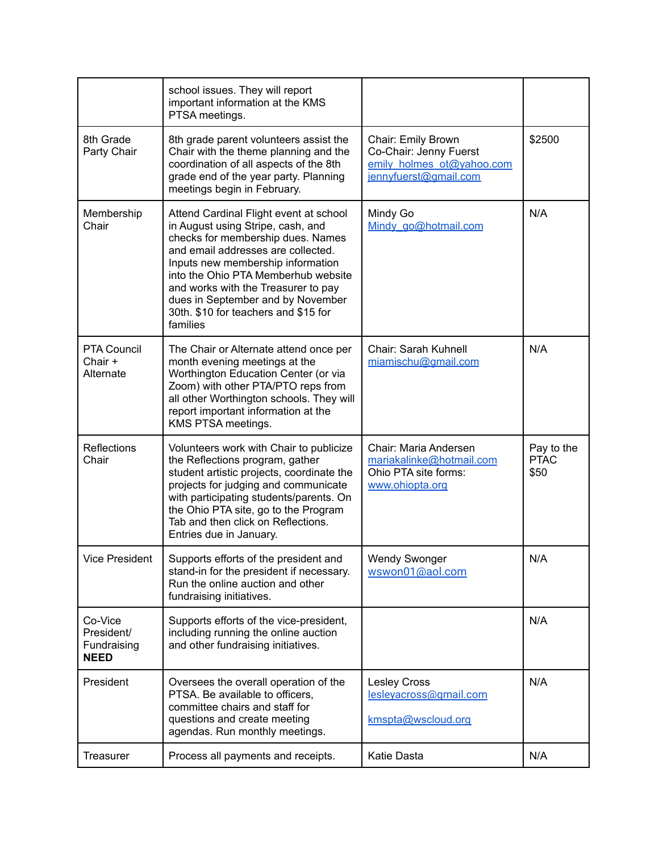|                                                     | school issues. They will report<br>important information at the KMS<br>PTSA meetings.                                                                                                                                                                                                                                                                              |                                                                                                    |                                   |
|-----------------------------------------------------|--------------------------------------------------------------------------------------------------------------------------------------------------------------------------------------------------------------------------------------------------------------------------------------------------------------------------------------------------------------------|----------------------------------------------------------------------------------------------------|-----------------------------------|
| 8th Grade<br>Party Chair                            | 8th grade parent volunteers assist the<br>Chair with the theme planning and the<br>coordination of all aspects of the 8th<br>grade end of the year party. Planning<br>meetings begin in February.                                                                                                                                                                  | Chair: Emily Brown<br>Co-Chair: Jenny Fuerst<br>emily holmes ot@yahoo.com<br>jennyfuerst@gmail.com | \$2500                            |
| Membership<br>Chair                                 | Attend Cardinal Flight event at school<br>in August using Stripe, cash, and<br>checks for membership dues. Names<br>and email addresses are collected.<br>Inputs new membership information<br>into the Ohio PTA Memberhub website<br>and works with the Treasurer to pay<br>dues in September and by November<br>30th. \$10 for teachers and \$15 for<br>families | Mindy Go<br>Mindy go@hotmail.com                                                                   | N/A                               |
| PTA Council<br>Chair +<br>Alternate                 | The Chair or Alternate attend once per<br>month evening meetings at the<br>Worthington Education Center (or via<br>Zoom) with other PTA/PTO reps from<br>all other Worthington schools. They will<br>report important information at the<br>KMS PTSA meetings.                                                                                                     | Chair: Sarah Kuhnell<br>miamischu@gmail.com                                                        | N/A                               |
| Reflections<br>Chair                                | Volunteers work with Chair to publicize<br>the Reflections program, gather<br>student artistic projects, coordinate the<br>projects for judging and communicate<br>with participating students/parents. On<br>the Ohio PTA site, go to the Program<br>Tab and then click on Reflections.<br>Entries due in January.                                                | Chair: Maria Andersen<br>mariakalinke@hotmail.com<br>Ohio PTA site forms:<br>www.ohiopta.org       | Pay to the<br><b>PTAC</b><br>\$50 |
| <b>Vice President</b>                               | Supports efforts of the president and<br>stand-in for the president if necessary.<br>Run the online auction and other<br>fundraising initiatives.                                                                                                                                                                                                                  | <b>Wendy Swonger</b><br>wswon01@aol.com                                                            | N/A                               |
| Co-Vice<br>President/<br>Fundraising<br><b>NEED</b> | Supports efforts of the vice-president,<br>including running the online auction<br>and other fundraising initiatives.                                                                                                                                                                                                                                              |                                                                                                    | N/A                               |
| President                                           | Oversees the overall operation of the<br>PTSA. Be available to officers.<br>committee chairs and staff for<br>questions and create meeting<br>agendas. Run monthly meetings.                                                                                                                                                                                       | Lesley Cross<br>lesleyacross@gmail.com<br>kmspta@wscloud.org                                       | N/A                               |
| <b>Treasurer</b>                                    | Process all payments and receipts.                                                                                                                                                                                                                                                                                                                                 | Katie Dasta                                                                                        | N/A                               |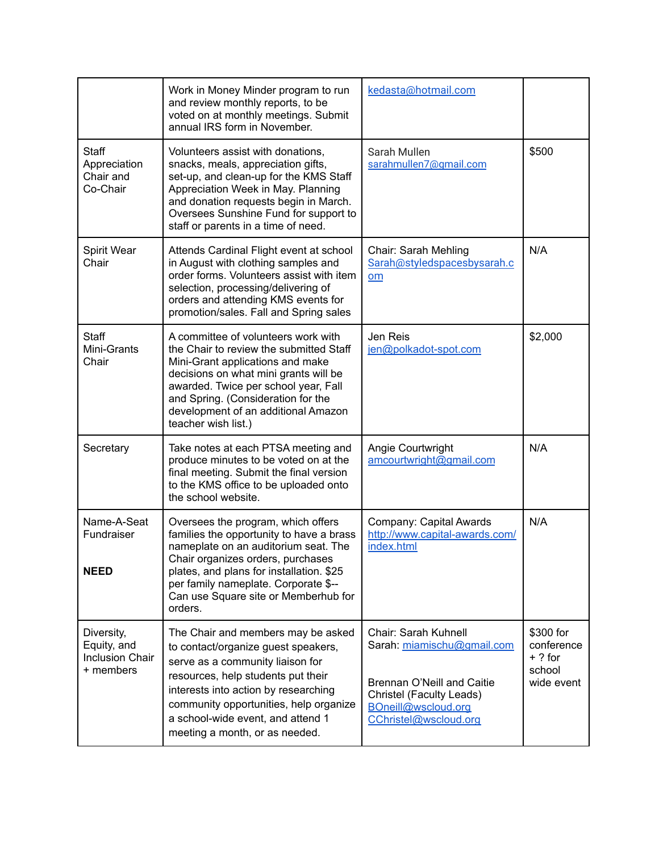|                                                                  | Work in Money Minder program to run<br>and review monthly reports, to be<br>voted on at monthly meetings. Submit<br>annual IRS form in November.                                                                                                                                                             | kedasta@hotmail.com                                                                                                                                          |                                                              |
|------------------------------------------------------------------|--------------------------------------------------------------------------------------------------------------------------------------------------------------------------------------------------------------------------------------------------------------------------------------------------------------|--------------------------------------------------------------------------------------------------------------------------------------------------------------|--------------------------------------------------------------|
| <b>Staff</b><br>Appreciation<br>Chair and<br>Co-Chair            | Volunteers assist with donations,<br>snacks, meals, appreciation gifts,<br>set-up, and clean-up for the KMS Staff<br>Appreciation Week in May. Planning<br>and donation requests begin in March.<br>Oversees Sunshine Fund for support to<br>staff or parents in a time of need.                             | Sarah Mullen<br>sarahmullen7@gmail.com                                                                                                                       | \$500                                                        |
| Spirit Wear<br>Chair                                             | Attends Cardinal Flight event at school<br>in August with clothing samples and<br>order forms. Volunteers assist with item<br>selection, processing/delivering of<br>orders and attending KMS events for<br>promotion/sales. Fall and Spring sales                                                           | Chair: Sarah Mehling<br>Sarah@styledspacesbysarah.c<br>om                                                                                                    | N/A                                                          |
| Staff<br>Mini-Grants<br>Chair                                    | A committee of volunteers work with<br>the Chair to review the submitted Staff<br>Mini-Grant applications and make<br>decisions on what mini grants will be<br>awarded. Twice per school year, Fall<br>and Spring. (Consideration for the<br>development of an additional Amazon<br>teacher wish list.)      | Jen Reis<br>jen@polkadot-spot.com                                                                                                                            | \$2,000                                                      |
| Secretary                                                        | Take notes at each PTSA meeting and<br>produce minutes to be voted on at the<br>final meeting. Submit the final version<br>to the KMS office to be uploaded onto<br>the school website.                                                                                                                      | Angie Courtwright<br>amcourtwright@gmail.com                                                                                                                 | N/A                                                          |
| Name-A-Seat<br>Fundraiser<br><b>NEED</b>                         | Oversees the program, which offers<br>families the opportunity to have a brass<br>nameplate on an auditorium seat. The<br>Chair organizes orders, purchases<br>plates, and plans for installation. \$25<br>per family nameplate. Corporate \$--<br>Can use Square site or Memberhub for<br>orders.           | Company: Capital Awards<br>http://www.capital-awards.com/<br>index.html                                                                                      | N/A                                                          |
| Diversity,<br>Equity, and<br><b>Inclusion Chair</b><br>+ members | The Chair and members may be asked<br>to contact/organize guest speakers,<br>serve as a community liaison for<br>resources, help students put their<br>interests into action by researching<br>community opportunities, help organize<br>a school-wide event, and attend 1<br>meeting a month, or as needed. | Chair: Sarah Kuhnell<br>Sarah: miamischu@gmail.com<br>Brennan O'Neill and Caitie<br>Christel (Faculty Leads)<br>BOneill@wscloud.org<br>CChristel@wscloud.org | \$300 for<br>conference<br>$+ ?$ for<br>school<br>wide event |